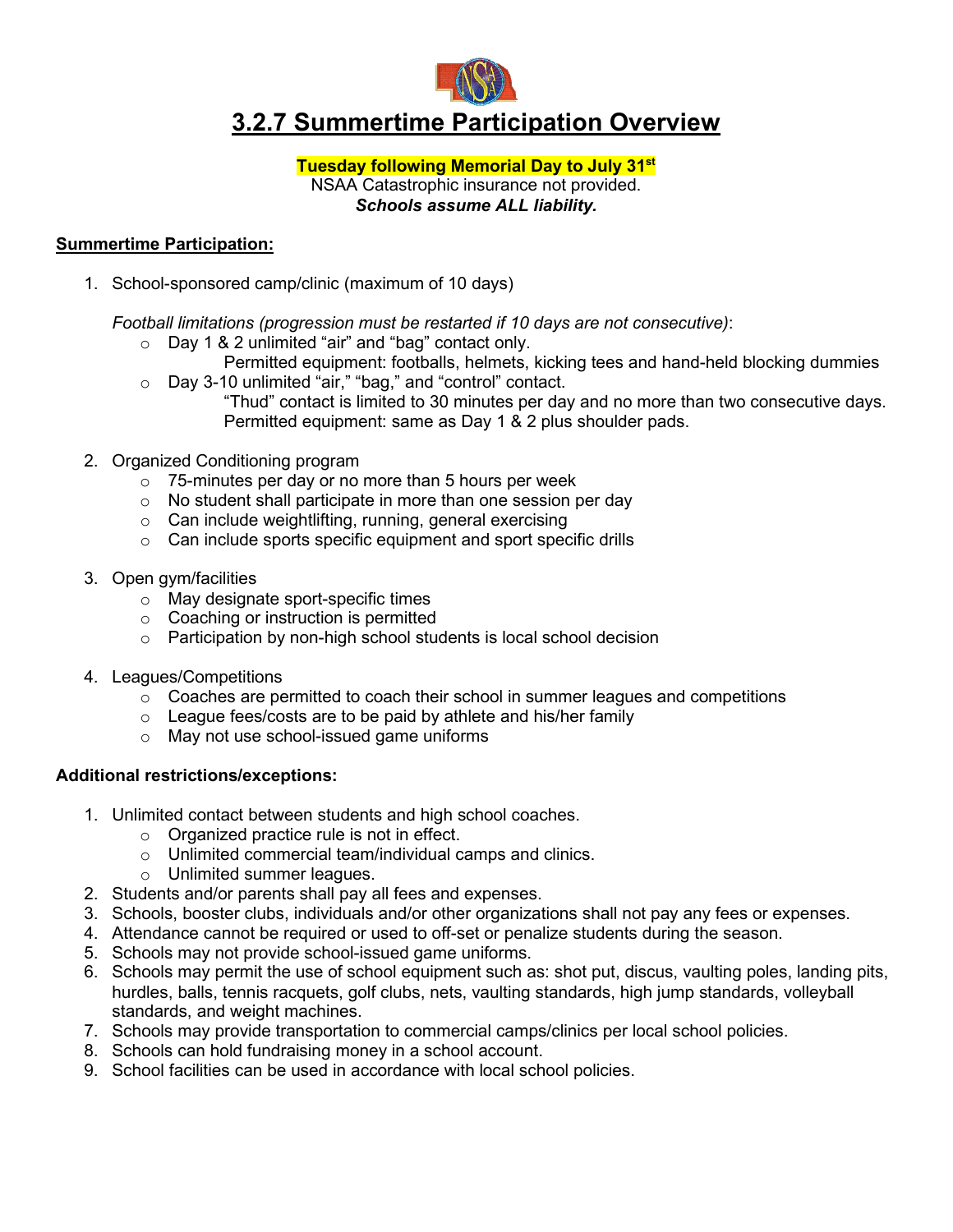

# **3.2.7 Summertime Participation Overview**

## **Tuesday following Memorial Day to July 31st** NSAA Catastrophic insurance not provided. *Schools assume ALL liability.*

## **Summertime Participation:**

1. School-sponsored camp/clinic (maximum of 10 days)

*Football limitations (progression must be restarted if 10 days are not consecutive)*:

- o Day 1 & 2 unlimited "air" and "bag" contact only.
- Permitted equipment: footballs, helmets, kicking tees and hand-held blocking dummies o Day 3-10 unlimited "air," "bag," and "control" contact.
	- "Thud" contact is limited to 30 minutes per day and no more than two consecutive days. Permitted equipment: same as Day 1 & 2 plus shoulder pads.
- 2. Organized Conditioning program
	- $\circ$  75-minutes per day or no more than 5 hours per week
	- o No student shall participate in more than one session per day
	- o Can include weightlifting, running, general exercising
	- o Can include sports specific equipment and sport specific drills
- 3. Open gym/facilities
	- o May designate sport-specific times
	- o Coaching or instruction is permitted
	- o Participation by non-high school students is local school decision
- 4. Leagues/Competitions
	- $\circ$  Coaches are permitted to coach their school in summer leagues and competitions
	- o League fees/costs are to be paid by athlete and his/her family
	- o May not use school-issued game uniforms

#### **Additional restrictions/exceptions:**

- 1. Unlimited contact between students and high school coaches.
	- o Organized practice rule is not in effect.
	- o Unlimited commercial team/individual camps and clinics.
	- o Unlimited summer leagues.
- 2. Students and/or parents shall pay all fees and expenses.
- 3. Schools, booster clubs, individuals and/or other organizations shall not pay any fees or expenses.
- 4. Attendance cannot be required or used to off-set or penalize students during the season.
- 5. Schools may not provide school-issued game uniforms.
- 6. Schools may permit the use of school equipment such as: shot put, discus, vaulting poles, landing pits, hurdles, balls, tennis racquets, golf clubs, nets, vaulting standards, high jump standards, volleyball standards, and weight machines.
- 7. Schools may provide transportation to commercial camps/clinics per local school policies.
- 8. Schools can hold fundraising money in a school account.
- 9. School facilities can be used in accordance with local school policies.